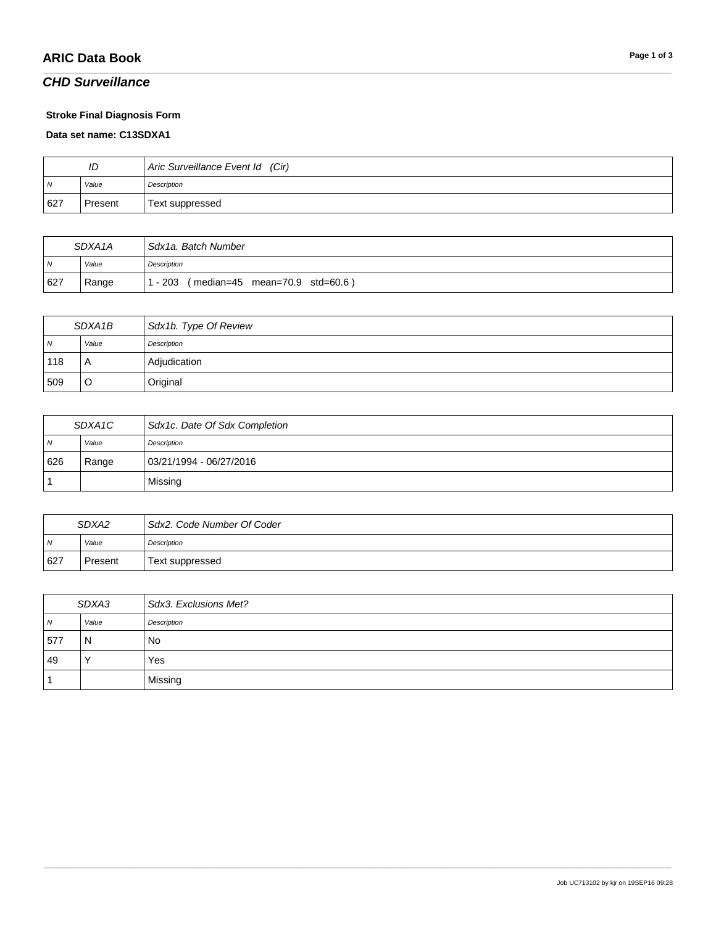# **ARIC Data Book Page 1 of 3**

### *CHD Surveillance*

#### **Stroke Final Diagnosis Form**

#### **Data set name: C13SDXA1**

| ID  |         | Aric Surveillance Event Id (Cir) |
|-----|---------|----------------------------------|
| N   | Value   | Description                      |
| 627 | Present | Text suppressed                  |

\_\_\_\_\_\_\_\_\_\_\_\_\_\_\_\_\_\_\_\_\_\_\_\_\_\_\_\_\_\_\_\_\_\_\_\_\_\_\_\_\_\_\_\_\_\_\_\_\_\_\_\_\_\_\_\_\_\_\_\_\_\_\_\_\_\_\_\_\_\_\_\_\_\_\_\_\_\_\_\_\_\_\_\_\_\_\_\_\_\_\_\_\_\_\_\_\_\_\_\_\_\_\_\_\_\_\_\_\_\_\_\_\_\_\_\_\_\_\_\_\_\_\_\_\_\_\_\_\_\_\_\_\_\_\_\_\_\_\_\_\_\_\_\_\_\_\_\_\_\_\_\_\_\_\_\_\_\_\_\_\_\_\_\_\_\_\_\_\_\_\_\_\_\_\_\_\_\_\_\_\_\_\_\_\_\_\_\_\_\_\_\_\_

| SDXA <sub>1</sub> A |       | Sdx1a. Batch Number                         |
|---------------------|-------|---------------------------------------------|
| $\overline{N}$      | Value | Description                                 |
| 627                 | Range | $(median=45$ mean=70.9 std=60.6)<br>1 - 203 |

| SDXA1B |       | Sdx1b. Type Of Review |
|--------|-------|-----------------------|
| N      | Value | Description           |
| 118    |       | Adjudication          |
| 509    |       | Original              |

| SDXA1C |       | Sdx1c. Date Of Sdx Completion |
|--------|-------|-------------------------------|
| N      | Value | Description                   |
| 626    | Range | 03/21/1994 - 06/27/2016       |
|        |       | Missing                       |

| SDXA2          |         | Sdx2, Code Number Of Coder |
|----------------|---------|----------------------------|
| $\overline{M}$ | Value   | Description                |
| 627            | Present | Text suppressed            |

| SDXA3 |           | Sdx3. Exclusions Met? |
|-------|-----------|-----------------------|
| N     | Value     | Description           |
| 577   | N         | No                    |
| 49    | $\lambda$ | Yes                   |
|       |           | Missing               |

\_\_\_\_\_\_\_\_\_\_\_\_\_\_\_\_\_\_\_\_\_\_\_\_\_\_\_\_\_\_\_\_\_\_\_\_\_\_\_\_\_\_\_\_\_\_\_\_\_\_\_\_\_\_\_\_\_\_\_\_\_\_\_\_\_\_\_\_\_\_\_\_\_\_\_\_\_\_\_\_\_\_\_\_\_\_\_\_\_\_\_\_\_\_\_\_\_\_\_\_\_\_\_\_\_\_\_\_\_\_\_\_\_\_\_\_\_\_\_\_\_\_\_\_\_\_\_\_\_\_\_\_\_\_\_\_\_\_\_\_\_\_\_\_\_\_\_\_\_\_\_\_\_\_\_\_\_\_\_\_\_\_\_\_\_\_\_\_\_\_\_\_\_\_\_\_\_\_\_\_\_\_\_\_\_\_\_\_\_\_\_\_\_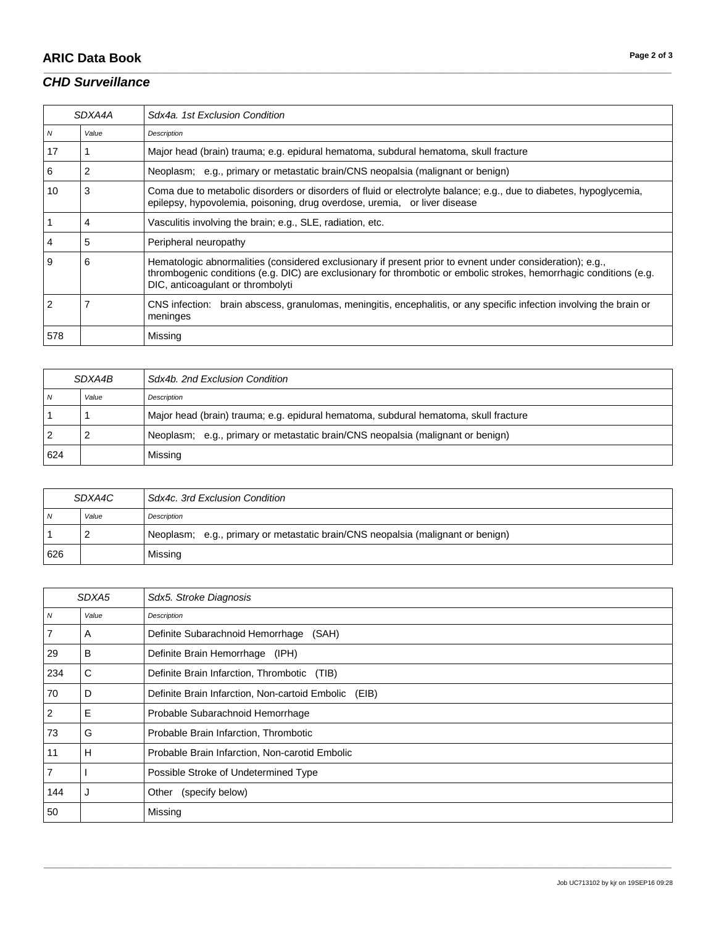# **ARIC Data Book Page 2 of 3**

## *CHD Surveillance*

|                | SDXA4A | Sdx4a, 1st Exclusion Condition                                                                                                                                                                                                                                        |
|----------------|--------|-----------------------------------------------------------------------------------------------------------------------------------------------------------------------------------------------------------------------------------------------------------------------|
| $\overline{M}$ | Value  | Description                                                                                                                                                                                                                                                           |
| 17             |        | Major head (brain) trauma; e.g. epidural hematoma, subdural hematoma, skull fracture                                                                                                                                                                                  |
| 6              | 2      | Neoplasm; e.g., primary or metastatic brain/CNS neopalsia (malignant or benign)                                                                                                                                                                                       |
| 10             | 3      | Coma due to metabolic disorders or disorders of fluid or electrolyte balance; e.g., due to diabetes, hypoglycemia,<br>epilepsy, hypovolemia, poisoning, drug overdose, uremia, or liver disease                                                                       |
|                | 4      | Vasculitis involving the brain; e.g., SLE, radiation, etc.                                                                                                                                                                                                            |
|                | 5      | Peripheral neuropathy                                                                                                                                                                                                                                                 |
| 9              | 6      | Hematologic abnormalities (considered exclusionary if present prior to evnent under consideration); e.g.,<br>thrombogenic conditions (e.g. DIC) are exclusionary for thrombotic or embolic strokes, hemorrhagic conditions (e.g.<br>DIC, anticoagulant or thrombolyti |
|                |        | CNS infection: brain abscess, granulomas, meningitis, encephalitis, or any specific infection involving the brain or<br>meninges                                                                                                                                      |
| 578            |        | Missing                                                                                                                                                                                                                                                               |

\_\_\_\_\_\_\_\_\_\_\_\_\_\_\_\_\_\_\_\_\_\_\_\_\_\_\_\_\_\_\_\_\_\_\_\_\_\_\_\_\_\_\_\_\_\_\_\_\_\_\_\_\_\_\_\_\_\_\_\_\_\_\_\_\_\_\_\_\_\_\_\_\_\_\_\_\_\_\_\_\_\_\_\_\_\_\_\_\_\_\_\_\_\_\_\_\_\_\_\_\_\_\_\_\_\_\_\_\_\_\_\_\_\_\_\_\_\_\_\_\_\_\_\_\_\_\_\_\_\_\_\_\_\_\_\_\_\_\_\_\_\_\_\_\_\_\_\_\_\_\_\_\_\_\_\_\_\_\_\_\_\_\_\_\_\_\_\_\_\_\_\_\_\_\_\_\_\_\_\_\_\_\_\_\_\_\_\_\_\_\_\_\_

| SDXA4B |       | Sdx4b, 2nd Exclusion Condition                                                       |
|--------|-------|--------------------------------------------------------------------------------------|
| N      | Value | Description                                                                          |
|        |       | Major head (brain) trauma; e.g. epidural hematoma, subdural hematoma, skull fracture |
|        |       | Neoplasm; e.g., primary or metastatic brain/CNS neopalsia (malignant or benign)      |
| 624    |       | Missing                                                                              |

| SDXA4C |       | Sdx4c, 3rd Exclusion Condition                                                  |
|--------|-------|---------------------------------------------------------------------------------|
| - N    | Value | Description                                                                     |
|        |       | Neoplasm; e.g., primary or metastatic brain/CNS neopalsia (malignant or benign) |
| 626    |       | Missing                                                                         |

|                  | SDXA5 | Sdx5. Stroke Diagnosis                               |
|------------------|-------|------------------------------------------------------|
| $\boldsymbol{N}$ | Value | Description                                          |
|                  | A     | Definite Subarachnoid Hemorrhage<br>(SAH)            |
| 29               | в     | Definite Brain Hemorrhage (IPH)                      |
| 234              | C     | Definite Brain Infarction, Thrombotic (TIB)          |
| 70               | D     | Definite Brain Infarction, Non-cartoid Embolic (EIB) |
| $\overline{2}$   | Е     | Probable Subarachnoid Hemorrhage                     |
| 73               | G     | Probable Brain Infarction, Thrombotic                |
| 11               | н     | Probable Brain Infarction, Non-carotid Embolic       |
| $\overline{7}$   |       | Possible Stroke of Undetermined Type                 |
| 144              |       | (specify below)<br>Other                             |
| 50               |       | Missing                                              |

\_\_\_\_\_\_\_\_\_\_\_\_\_\_\_\_\_\_\_\_\_\_\_\_\_\_\_\_\_\_\_\_\_\_\_\_\_\_\_\_\_\_\_\_\_\_\_\_\_\_\_\_\_\_\_\_\_\_\_\_\_\_\_\_\_\_\_\_\_\_\_\_\_\_\_\_\_\_\_\_\_\_\_\_\_\_\_\_\_\_\_\_\_\_\_\_\_\_\_\_\_\_\_\_\_\_\_\_\_\_\_\_\_\_\_\_\_\_\_\_\_\_\_\_\_\_\_\_\_\_\_\_\_\_\_\_\_\_\_\_\_\_\_\_\_\_\_\_\_\_\_\_\_\_\_\_\_\_\_\_\_\_\_\_\_\_\_\_\_\_\_\_\_\_\_\_\_\_\_\_\_\_\_\_\_\_\_\_\_\_\_\_\_